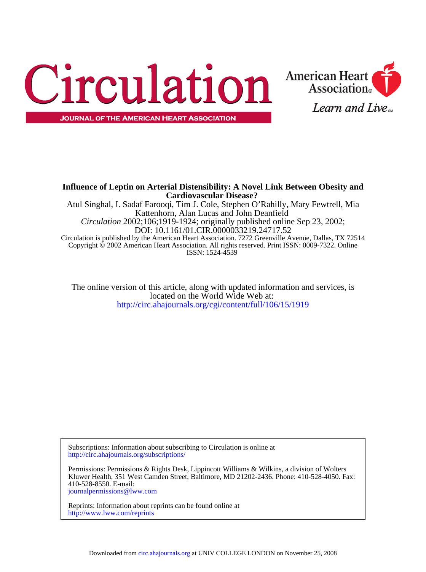



**JOURNAL OF THE AMERICAN HEART ASSOCIATION** 

ISSN: 1524-4539 Copyright © 2002 American Heart Association. All rights reserved. Print ISSN: 0009-7322. Online Circulation is published by the American Heart Association. 7272 Greenville Avenue, Dallas, TX 72514 DOI: 10.1161/01.CIR.0000033219.24717.52 *Circulation* 2002;106;1919-1924; originally published online Sep 23, 2002; Kattenhorn, Alan Lucas and John Deanfield Atul Singhal, I. Sadaf Farooqi, Tim J. Cole, Stephen O'Rahilly, Mary Fewtrell, Mia **Cardiovascular Disease? Influence of Leptin on Arterial Distensibility: A Novel Link Between Obesity and**

<http://circ.ahajournals.org/cgi/content/full/106/15/1919> located on the World Wide Web at: The online version of this article, along with updated information and services, is

<http://circ.ahajournals.org/subscriptions/> Subscriptions: Information about subscribing to Circulation is online at

[journalpermissions@lww.com](mailto:journalpermissions@lww.com) 410-528-8550. E-mail: Kluwer Health, 351 West Camden Street, Baltimore, MD 21202-2436. Phone: 410-528-4050. Fax: Permissions: Permissions & Rights Desk, Lippincott Williams & Wilkins, a division of Wolters

<http://www.lww.com/reprints> Reprints: Information about reprints can be found online at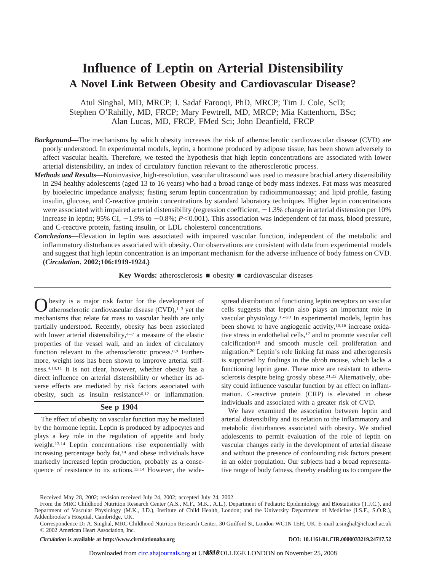# **Influence of Leptin on Arterial Distensibility A Novel Link Between Obesity and Cardiovascular Disease?**

Atul Singhal, MD, MRCP; I. Sadaf Farooqi, PhD, MRCP; Tim J. Cole, ScD; Stephen O'Rahilly, MD, FRCP; Mary Fewtrell, MD, MRCP; Mia Kattenhorn, BSc; Alan Lucas, MD, FRCP, FMed Sci; John Deanfield, FRCP

- *Background*—The mechanisms by which obesity increases the risk of atherosclerotic cardiovascular disease (CVD) are poorly understood. In experimental models, leptin, a hormone produced by adipose tissue, has been shown adversely to affect vascular health. Therefore, we tested the hypothesis that high leptin concentrations are associated with lower arterial distensibility, an index of circulatory function relevant to the atherosclerotic process.
- *Methods and Results*—Noninvasive, high-resolution, vascular ultrasound was used to measure brachial artery distensibility in 294 healthy adolescents (aged 13 to 16 years) who had a broad range of body mass indexes. Fat mass was measured by bioelectric impedance analysis; fasting serum leptin concentration by radioimmunoassay; and lipid profile, fasting insulin, glucose, and C-reactive protein concentrations by standard laboratory techniques. Higher leptin concentrations were associated with impaired arterial distensibility (regression coefficient,  $-1.3\%$  change in arterial distension per 10% increase in leptin; 95% CI,  $-1.9\%$  to  $-0.8\%$ ;  $P<0.001$ ). This association was independent of fat mass, blood pressure, and C-reactive protein, fasting insulin, or LDL cholesterol concentrations.
- *Conclusions*—Elevation in leptin was associated with impaired vascular function, independent of the metabolic and inflammatory disturbances associated with obesity. Our observations are consistent with data from experimental models and suggest that high leptin concentration is an important mechanism for the adverse influence of body fatness on CVD. **(***Circulation***. 2002;106:1919-1924.)**

**Key Words:** atherosclerosis  $\blacksquare$  obesity  $\blacksquare$  cardiovascular diseases

besity is a major risk factor for the development of atherosclerotic cardiovascular disease  $(CVD)$ ,<sup>1–3</sup> yet the mechanisms that relate fat mass to vascular health are only partially understood. Recently, obesity has been associated with lower arterial distensibility,4–7 a measure of the elastic properties of the vessel wall, and an index of circulatory function relevant to the atherosclerotic process.<sup>8,9</sup> Furthermore, weight loss has been shown to improve arterial stiffness.4,10,11 It is not clear, however, whether obesity has a direct influence on arterial distensibility or whether its adverse effects are mediated by risk factors associated with obesity, such as insulin resistance6,12 or inflammation.

# **See p 1904**

The effect of obesity on vascular function may be mediated by the hormone leptin. Leptin is produced by adipocytes and plays a key role in the regulation of appetite and body weight.13,14 Leptin concentrations rise exponentially with increasing percentage body fat,<sup>14</sup> and obese individuals have markedly increased leptin production, probably as a consequence of resistance to its actions.13,14 However, the widespread distribution of functioning leptin receptors on vascular cells suggests that leptin also plays an important role in vascular physiology.15–20 In experimental models, leptin has been shown to have angiogenic activity,15,16 increase oxidative stress in endothelial cells,<sup>17</sup> and to promote vascular cell calcification<sup>19</sup> and smooth muscle cell proliferation and migration.20 Leptin's role linking fat mass and atherogenesis is supported by findings in the ob/ob mouse, which lacks a functioning leptin gene. These mice are resistant to atherosclerosis despite being grossly obese.<sup>21,22</sup> Alternatively, obesity could influence vascular function by an effect on inflammation. C-reactive protein (CRP) is elevated in obese individuals and associated with a greater risk of CVD.

We have examined the association between leptin and arterial distensibility and its relation to the inflammatory and metabolic disturbances associated with obesity. We studied adolescents to permit evaluation of the role of leptin on vascular changes early in the development of arterial disease and without the presence of confounding risk factors present in an older population. Our subjects had a broad representative range of body fatness, thereby enabling us to compare the

*Circulation* is available at http://www.circulationaha.org DOI: 10.1161/01.CIR.0000033219.24717.52

Received May 28, 2002; revision received July 24, 2002; accepted July 24, 2002.

From the MRC Childhood Nutrition Research Center (A.S., M.F., M.K., A.L.), Department of Pediatric Epidemiology and Biostatistics (T.J.C.), and Department of Vascular Physiology (M.K., J.D.), Institute of Child Health, London; and the University Department of Medicine (I.S.F., S.O.R.), Addenbrooke's Hospital, Cambridge, UK.

Correspondence Dr A. Singhal, MRC Childhood Nutrition Research Center, 30 Guilford St, London WC1N 1EH, UK. E-mail a.singhal@ich.ucl.ac.uk © 2002 American Heart Association, Inc.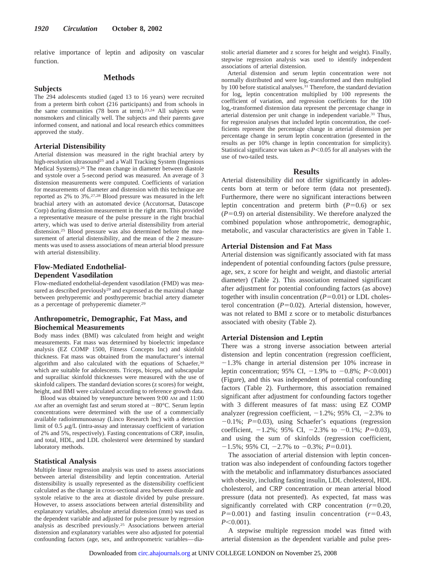relative importance of leptin and adiposity on vascular function.

# **Methods**

#### **Subjects**

The 294 adolescents studied (aged 13 to 16 years) were recruited from a preterm birth cohort (216 participants) and from schools in the same communities (78 born at term).<sup>23,24</sup> All subjects were nonsmokers and clinically well. The subjects and their parents gave informed consent, and national and local research ethics committees approved the study.

#### **Arterial Distensibility**

Arterial distension was measured in the right brachial artery by high-resolution ultrasound<sup>25</sup> and a Wall Tracking System (Ingenious Medical Systems).26 The mean change in diameter between diastole and systole over a 5-second period was measured. An average of 3 distension measurements were computed. Coefficients of variation for measurements of diameter and distension with this technique are reported as 2% to 3%.27,28 Blood pressure was measured in the left brachial artery with an automated device (Accutorrsat, Datascope Corp) during distension measurement in the right arm. This provided a representative measure of the pulse pressure in the right brachial artery, which was used to derive arterial distensibility from arterial distension.25 Blood pressure was also determined before the measurement of arterial distensibility, and the mean of the 2 measurements was used to assess associations of mean arterial blood pressure with arterial distensibility.

# **Flow-Mediated Endothelial-Dependent Vasodilation**

Flow-mediated endothelial-dependent vasodilation (FMD) was measured as described previously<sup>29</sup> and expressed as the maximal change between prehyperemic and posthyperemic brachial artery diameter as a percentage of prehyperemic diameter.29

## **Anthropometric, Demographic, Fat Mass, and Biochemical Measurements**

Body mass index (BMI) was calculated from height and weight measurements. Fat mass was determined by bioelectric impedance analysis (EZ COMP 1500, Fitness Concepts Inc) and skinfold thickness. Fat mass was obtained from the manufacturer's internal algorithm and also calculated with the equations of Schaefer,30 which are suitable for adolescents. Triceps, biceps, and subscapular and suprailiac skinfold thicknesses were measured with the use of skinfold calipers. The standard deviation scores (z scores) for weight, height, and BMI were calculated according to reference growth data.

Blood was obtained by venepuncture between 9:00 AM and 11:00 AM after an overnight fast and serum stored at  $-80^{\circ}$ C. Serum leptin concentrations were determined with the use of a commercially available radioimmunoassay (Linco Research Inc) with a detection limit of  $0.5 \mu g/L$  (intra-assay and interassay coefficient of variation of 2% and 5%, respectively). Fasting concentrations of CRP, insulin, and total, HDL, and LDL cholesterol were determined by standard laboratory methods.

## **Statistical Analysis**

Multiple linear regression analysis was used to assess associations between arterial distensibility and leptin concentration. Arterial distensibility is usually represented as the distensibility coefficient calculated as the change in cross-sectional area between diastole and systole relative to the area at diastole divided by pulse pressure. However, to assess associations between arterial distensibility and explanatory variables, absolute arterial distension (mm) was used as the dependent variable and adjusted for pulse pressure by regression analysis as described previously.25 Associations between arterial distension and explanatory variables were also adjusted for potential confounding factors (age, sex, and anthropometric variables—diastolic arterial diameter and z scores for height and weight). Finally, stepwise regression analysis was used to identify independent associations of arterial distension.

Arterial distension and serum leptin concentration were not normally distributed and were log<sub>e</sub>-transformed and then multiplied by 100 before statistical analyses.31 Therefore, the standard deviation for loge leptin concentration multiplied by 100 represents the coefficient of variation, and regression coefficients for the 100 log<sub>-transformed</sub> distension data represent the percentage change in arterial distension per unit change in independent variable.31 Thus, for regression analyses that included leptin concentration, the coefficients represent the percentage change in arterial distension per percentage change in serum leptin concentration (presented in the results as per 10% change in leptin concentration for simplicity). Statistical significance was taken as  $P \le 0.05$  for all analyses with the use of two-tailed tests.

### **Results**

Arterial distensibility did not differ significantly in adolescents born at term or before term (data not presented). Furthermore, there were no significant interactions between leptin concentration and preterm birth  $(P=0.6)$  or sex  $(P=0.9)$  on arterial distensibility. We therefore analyzed the combined population whose anthropometric, demographic, metabolic, and vascular characteristics are given in Table 1.

### **Arterial Distension and Fat Mass**

Arterial distension was significantly associated with fat mass independent of potential confounding factors (pulse pressure, age, sex, z score for height and weight, and diastolic arterial diameter) (Table 2). This association remained significant after adjustment for potential confounding factors (as above) together with insulin concentration  $(P=0.01)$  or LDL cholesterol concentration  $(P=0.02)$ . Arterial distension, however, was not related to BMI z score or to metabolic disturbances associated with obesity (Table 2).

#### **Arterial Distension and Leptin**

There was a strong inverse association between arterial distension and leptin concentration (regression coefficient,  $-1.3%$  change in arterial distension per 10% increase in leptin concentration; 95% CI,  $-1.9%$  to  $-0.8%$ ; *P*<0.001) (Figure), and this was independent of potential confounding factors (Table 2). Furthermore, this association remained significant after adjustment for confounding factors together with 3 different measures of fat mass: using EZ COMP analyzer (regression coefficient,  $-1.2\%$ ; 95% CI,  $-2.3\%$  to  $-0.1\%$ ;  $P=0.03$ ), using Schaefer's equations (regression coefficient,  $-1.2\%$ ; 95% CI,  $-2.3\%$  to  $-0.1\%$ ; *P*=0.03), and using the sum of skinfolds (regression coefficient,  $-1.5\%$ ; 95% CI,  $-2.7\%$  to  $-0.3\%$ ;  $P=0.01$ ).

The association of arterial distension with leptin concentration was also independent of confounding factors together with the metabolic and inflammatory disturbances associated with obesity, including fasting insulin, LDL cholesterol, HDL cholesterol, and CRP concentration or mean arterial blood pressure (data not presented). As expected, fat mass was significantly correlated with CRP concentration  $(r=0.20,$  $P=0.001$ ) and fasting insulin concentration ( $r=0.43$ , *P*-0.001).

A stepwise multiple regression model was fitted with arterial distension as the dependent variable and pulse pres-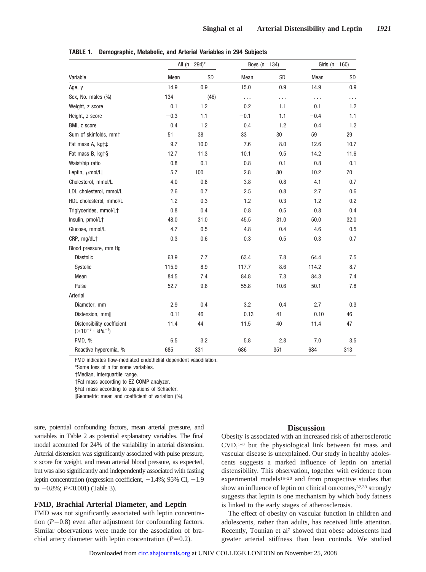|                                                                 | All $(n=294)^*$ |      | Boys $(n=134)$ |      | Girls $(n=160)$ |      |
|-----------------------------------------------------------------|-----------------|------|----------------|------|-----------------|------|
| Variable                                                        | Mean            | SD   | Mean           | SD   | Mean            | SD   |
| Age, y                                                          | 14.9            | 0.9  | 15.0           | 0.9  | 14.9            | 0.9  |
| Sex, No. males (%)                                              | 134             | (46) | .              | .    | .               | .    |
| Weight, z score                                                 | 0.1             | 1.2  | 0.2            | 1.1  | 0.1             | 1.2  |
| Height, z score                                                 | $-0.3$          | 1.1  | $-0.1$         | 1.1  | $-0.4$          | 1.1  |
| BMI, z score                                                    | 0.4             | 1.2  | 0.4            | 1.2  | 0.4             | 1.2  |
| Sum of skinfolds, mm+                                           | 51              | 38   | 33             | 30   | 59              | 29   |
| Fat mass A, kgtt                                                | 9.7             | 10.0 | 7.6            | 8.0  | 12.6            | 10.7 |
| Fat mass B, kgt§                                                | 12.7            | 11.3 | 10.1           | 9.5  | 14.2            | 11.6 |
| Waist/hip ratio                                                 | $0.8\,$         | 0.1  | 0.8            | 0.1  | 0.8             | 0.1  |
| Leptin, $\mu$ mol/L                                             | 5.7             | 100  | 2.8            | 80   | 10.2            | 70   |
| Cholesterol, mmol/L                                             | 4.0             | 0.8  | 3.8            | 0.8  | 4.1             | 0.7  |
| LDL cholesterol, mmol/L                                         | 2.6             | 0.7  | 2.5            | 0.8  | 2.7             | 0.6  |
| HDL cholesterol, mmol/L                                         | 1.2             | 0.3  | 1.2            | 0.3  | 1.2             | 0.2  |
| Triglycerides, mmol/Lt                                          | 0.8             | 0.4  | 0.8            | 0.5  | 0.8             | 0.4  |
| Insulin, pmol/L+                                                | 48.0            | 31.0 | 45.5           | 31.0 | 50.0            | 32.0 |
| Glucose, mmol/L                                                 | 4.7             | 0.5  | 4.8            | 0.4  | 4.6             | 0.5  |
| CRP, mg/dL+                                                     | 0.3             | 0.6  | 0.3            | 0.5  | 0.3             | 0.7  |
| Blood pressure, mm Hg                                           |                 |      |                |      |                 |      |
| <b>Diastolic</b>                                                | 63.9            | 7.7  | 63.4           | 7.8  | 64.4            | 7.5  |
| Systolic                                                        | 115.9           | 8.9  | 117.7          | 8.6  | 114.2           | 8.7  |
| Mean                                                            | 84.5            | 7.4  | 84.8           | 7.3  | 84.3            | 7.4  |
| Pulse                                                           | 52.7            | 9.6  | 55.8           | 10.6 | 50.1            | 7.8  |
| Arterial                                                        |                 |      |                |      |                 |      |
| Diameter, mm                                                    | 2.9             | 0.4  | 3.2            | 0.4  | 2.7             | 0.3  |
| Distension, mm                                                  | 0.11            | 46   | 0.13           | 41   | 0.10            | 46   |
| Distensibility coefficient<br>$(\times 10^{-3} \cdot kPa^{-1})$ | 11.4            | 44   | 11.5           | 40   | 11.4            | 47   |
| <b>FMD, %</b>                                                   | 6.5             | 3.2  | 5.8            | 2.8  | 7.0             | 3.5  |
| Reactive hyperemia, %                                           | 685             | 331  | 686            | 351  | 684             | 313  |

**TABLE 1. Demographic, Metabolic, and Arterial Variables in 294 Subjects**

FMD indicates flow-mediated endothelial dependent vasodilation.

\*Some loss of n for some variables.

†Median, interquartile range.

‡Fat mass according to EZ COMP analyzer.

§Fat mass according to equations of Schaefer.

Geometric mean and coefficient of variation (%).

sure, potential confounding factors, mean arterial pressure, and variables in Table 2 as potential explanatory variables. The final model accounted for 24% of the variability in arterial distension. Arterial distension was significantly associated with pulse pressure, z score for weight, and mean arterial blood pressure, as expected, but was also significantly and independently associated with fasting leptin concentration (regression coefficient,  $-1.4\%$ ; 95% CI,  $-1.9$ to  $-0.8\%$ ; *P*<0.001) (Table 3).

## **FMD, Brachial Arterial Diameter, and Leptin**

FMD was not significantly associated with leptin concentration  $(P=0.8)$  even after adjustment for confounding factors. Similar observations were made for the association of brachial artery diameter with leptin concentration  $(P=0.2)$ .

# **Discussion**

Obesity is associated with an increased risk of atherosclerotic  $CVD$ ,<sup>1–3</sup> but the physiological link between fat mass and vascular disease is unexplained. Our study in healthy adolescents suggests a marked influence of leptin on arterial distensibility. This observation, together with evidence from experimental models<sup>15-20</sup> and from prospective studies that show an influence of leptin on clinical outcomes,<sup>32,33</sup> strongly suggests that leptin is one mechanism by which body fatness is linked to the early stages of atherosclerosis.

The effect of obesity on vascular function in children and adolescents, rather than adults, has received little attention. Recently, Tounian et al7 showed that obese adolescents had greater arterial stiffness than lean controls. We studied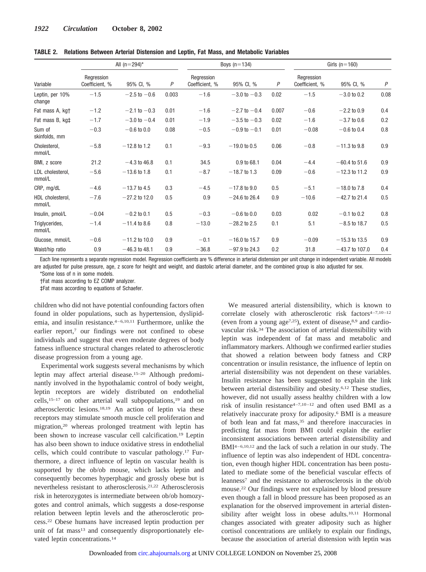|                            | All $(n=294)^*$              |                  |       | Boys $(n=134)$               |                         |       | Girls $(n=160)$              |                  |                  |
|----------------------------|------------------------------|------------------|-------|------------------------------|-------------------------|-------|------------------------------|------------------|------------------|
| Variable                   | Rearession<br>Coefficient, % | 95% CI, %        | P     | Rearession<br>Coefficient, % | 95% CI, %               | P     | Regression<br>Coefficient, % | 95% CI, %        | $\boldsymbol{P}$ |
| Leptin, per 10%<br>change  | $-1.5$                       | $-2.5$ to $-0.6$ | 0.003 | $-1.6$                       | $-3.0 \text{ to } -0.3$ | 0.02  | $-1.5$                       | $-3.0$ to 0.2    | 0.08             |
| Fat mass A, kgt            | $-1.2$                       | $-2.1$ to $-0.3$ | 0.01  | $-1.6$                       | $-2.7$ to $-0.4$        | 0.007 | $-0.6$                       | $-2.2$ to 0.9    | 0.4              |
| Fat mass B, kg‡            | $-1.7$                       | $-3.0$ to $-0.4$ | 0.01  | $-1.9$                       | $-3.5$ to $-0.3$        | 0.02  | $-1.6$                       | $-3.7$ to 0.6    | 0.2              |
| Sum of<br>skinfolds, mm    | $-0.3$                       | $-0.6$ to 0.0    | 0.08  | $-0.5$                       | $-0.9$ to $-0.1$        | 0.01  | $-0.08$                      | $-0.6$ to 0.4    | 0.8              |
| Cholesterol,<br>mmol/L     | $-5.8$                       | $-12.8$ to 1.2   | 0.1   | $-9.3$                       | $-19.0$ to 0.5          | 0.06  | $-0.8$                       | $-11.3$ to 9.8   | 0.9              |
| BMI, z score               | 21.2                         | $-4.3$ to 46.8   | 0.1   | 34.5                         | 0.9 to 68.1             | 0.04  | $-4.4$                       | $-60.4$ to 51.6  | 0.9              |
| LDL cholesterol,<br>mmol/L | $-5.6$                       | $-13.6$ to 1.8   | 0.1   | $-8.7$                       | $-18.7$ to 1.3          | 0.09  | $-0.6$                       | $-12.3$ to 11.2  | 0.9              |
| CRP, mg/dL                 | $-4.6$                       | $-13.7$ to 4.5   | 0.3   | $-4.5$                       | $-17.8$ to 9.0          | 0.5   | $-5.1$                       | $-18.0$ to 7.8   | 0.4              |
| HDL cholesterol,<br>mmol/L | $-7.6$                       | $-27.2$ to 12.0  | 0.5   | 0.9                          | $-24.6$ to 26.4         | 0.9   | $-10.6$                      | $-42.7$ to 21.4  | 0.5              |
| Insulin, pmol/L            | $-0.04$                      | $-0.2$ to 0.1    | 0.5   | $-0.3$                       | $-0.6$ to 0.0           | 0.03  | 0.02                         | $-0.1$ to 0.2    | 0.8              |
| Triglycerides,<br>mmol/L   | $-1.4$                       | $-11.4$ to 8.6   | 0.8   | $-13.0$                      | $-28.2$ to 2.5          | 0.1   | 5.1                          | $-8.5$ to 18.7   | 0.5              |
| Glucose, mmol/L            | $-0.6$                       | $-11.2$ to 10.0  | 0.9   | $-0.1$                       | $-16.0$ to 15.7         | 0.9   | $-0.09$                      | $-15.3$ to 13.5  | 0.9              |
| Waist/hip ratio            | 0.9                          | $-46.3$ to 48.1  | 0.9   | $-36.8$                      | $-97.9$ to 24.3         | 0.2   | 31.8                         | $-43.7$ to 107.0 | 0.4              |

**TABLE 2. Relations Between Arterial Distension and Leptin, Fat Mass, and Metabolic Variables**

Each line represents a separate regression model. Regression coefficients are % difference in arterial distension per unit change in independent variable. All models are adjusted for pulse pressure, age, z score for height and weight, and diastolic arterial diameter, and the combined group is also adjusted for sex.

\*Some loss of n in some models.

†Fat mass according to EZ COMP analyzer.

‡Fat mass according to equations of Schaefer.

children who did not have potential confounding factors often found in older populations, such as hypertension, dyslipidemia, and insulin resistance.4–6,10,11 Furthermore, unlike the earlier report,<sup>7</sup> our findings were not confined to obese individuals and suggest that even moderate degrees of body fatness influence structural changes related to atherosclerotic disease progression from a young age.

Experimental work suggests several mechanisms by which leptin may affect arterial disease.15–20 Although predominantly involved in the hypothalamic control of body weight, leptin receptors are widely distributed on endothelial cells,15–17 on other arterial wall subpopulations,19 and on atherosclerotic lesions.18,19 An action of leptin via these receptors may stimulate smooth muscle cell proliferation and migration,20 whereas prolonged treatment with leptin has been shown to increase vascular cell calcification.19 Leptin has also been shown to induce oxidative stress in endothelial cells, which could contribute to vascular pathology.17 Furthermore, a direct influence of leptin on vascular health is supported by the ob/ob mouse, which lacks leptin and consequently becomes hyperphagic and grossly obese but is nevertheless resistant to atherosclerosis.21,22 Atherosclerosis risk in heterozygotes is intermediate between ob/ob homozygotes and control animals, which suggests a dose-response relation between leptin levels and the atherosclerotic process.22 Obese humans have increased leptin production per unit of fat mass<sup>13</sup> and consequently disproportionately elevated leptin concentrations.14

We measured arterial distensibility, which is known to correlate closely with atherosclerotic risk factors<sup>4-7,10-12</sup> (even from a young  $age^{7,25}$ ), extent of disease,  $8.9$  and cardiovascular risk.34 The association of arterial distensibility with leptin was independent of fat mass and metabolic and inflammatory markers. Although we confirmed earlier studies that showed a relation between body fatness and CRP concentration or insulin resistance, the influence of leptin on arterial distensibility was not dependent on these variables. Insulin resistance has been suggested to explain the link between arterial distensibility and obesity.6,12 These studies, however, did not usually assess healthy children with a low risk of insulin resistance<sup>4-7,10-12</sup> and often used BMI as a relatively inaccurate proxy for adiposity.6 BMI is a measure of both lean and fat mass,<sup>35</sup> and therefore inaccuracies in predicting fat mass from BMI could explain the earlier inconsistent associations between arterial distensibility and BMI4–6,10,12 and the lack of such a relation in our study. The influence of leptin was also independent of HDL concentration, even though higher HDL concentration has been postulated to mediate some of the beneficial vascular effects of leanness7 and the resistance to atherosclerosis in the ob/ob mouse.22 Our findings were not explained by blood pressure even though a fall in blood pressure has been proposed as an explanation for the observed improvement in arterial distensibility after weight loss in obese adults.10,11 Hormonal changes associated with greater adiposity such as higher cortisol concentrations are unlikely to explain our findings, because the association of arterial distension with leptin was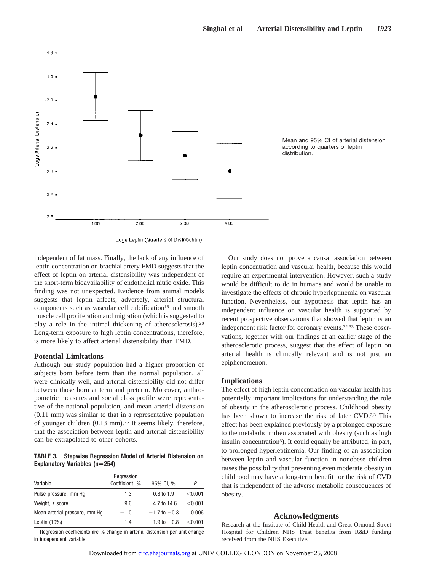



Loge Leptin (Quarters of Distribution)

independent of fat mass. Finally, the lack of any influence of leptin concentration on brachial artery FMD suggests that the effect of leptin on arterial distensibility was independent of the short-term bioavailability of endothelial nitric oxide. This finding was not unexpected. Evidence from animal models suggests that leptin affects, adversely, arterial structural components such as vascular cell calcification<sup>19</sup> and smooth muscle cell proliferation and migration (which is suggested to play a role in the intimal thickening of atherosclerosis).20 Long-term exposure to high leptin concentrations, therefore, is more likely to affect arterial distensibility than FMD.

#### **Potential Limitations**

Although our study population had a higher proportion of subjects born before term than the normal population, all were clinically well, and arterial distensibility did not differ between those born at term and preterm. Moreover, anthropometric measures and social class profile were representative of the national population, and mean arterial distension (0.11 mm) was similar to that in a representative population of younger children (0.13 mm).25 It seems likely, therefore, that the association between leptin and arterial distensibility can be extrapolated to other cohorts.

### **TABLE 3. Stepwise Regression Model of Arterial Distension on Explanatory Variables (n254)**

| Variable                      | Regression<br>Coefficient, % | 95% CI, %             |         |
|-------------------------------|------------------------------|-----------------------|---------|
| Pulse pressure, mm Hq         | 1.3                          | $0.8 \text{ to } 1.9$ | < 0.001 |
| Weight, z score               | 9.6                          | 4.7 to 14.6           | < 0.001 |
| Mean arterial pressure, mm Hq | $-1.0$                       | $-1.7$ to $-0.3$      | 0.006   |
| Leptin $(10\%)$               | $-1.4$                       | $-1.9$ to $-0.8$      | < 0.001 |

Regression coefficients are % change in arterial distension per unit change in independent variable.

Our study does not prove a causal association between leptin concentration and vascular health, because this would require an experimental intervention. However, such a study would be difficult to do in humans and would be unable to investigate the effects of chronic hyperleptinemia on vascular function. Nevertheless, our hypothesis that leptin has an independent influence on vascular health is supported by recent prospective observations that showed that leptin is an independent risk factor for coronary events.<sup>32,33</sup> These observations, together with our findings at an earlier stage of the atherosclerotic process, suggest that the effect of leptin on arterial health is clinically relevant and is not just an epiphenomenon.

## **Implications**

The effect of high leptin concentration on vascular health has potentially important implications for understanding the role of obesity in the atherosclerotic process. Childhood obesity has been shown to increase the risk of later CVD.<sup>2,3</sup> This effect has been explained previously by a prolonged exposure to the metabolic milieu associated with obesity (such as high insulin concentration<sup>3</sup>). It could equally be attributed, in part, to prolonged hyperleptinemia. Our finding of an association between leptin and vascular function in nonobese children raises the possibility that preventing even moderate obesity in childhood may have a long-term benefit for the risk of CVD that is independent of the adverse metabolic consequences of obesity.

#### **Acknowledgments**

Research at the Institute of Child Health and Great Ormond Street Hospital for Children NHS Trust benefits from R&D funding received from the NHS Executive.